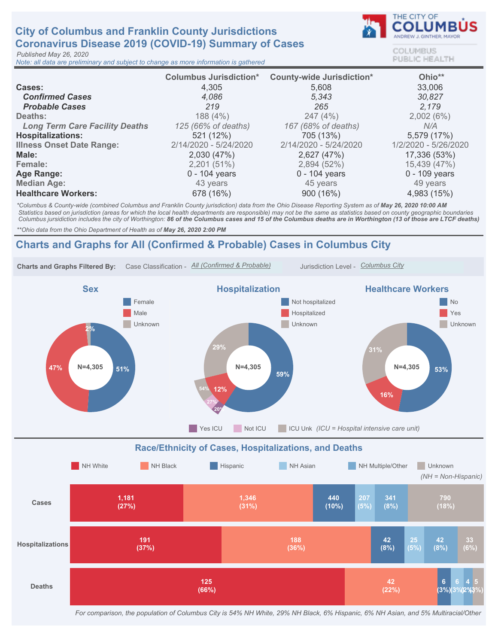## **City of Columbus and Franklin County Jurisdictions** Coronavirus Disease 2019 (COVID-19) Summary of Cases

Published May 26, 2020

Note: all data are preliminary and subject to change as more information is gathered



COLUMBUS **PUBLIC HEALTH** 

|                                       | <b>Columbus Jurisdiction*</b> | <b>County-wide Jurisdiction*</b> | Ohio**               |
|---------------------------------------|-------------------------------|----------------------------------|----------------------|
| <b>Cases:</b>                         | 4,305                         | 5,608                            | 33,006               |
| <b>Confirmed Cases</b>                | 4,086                         | 5,343                            | 30,827               |
| <b>Probable Cases</b>                 | 219                           | 265                              | 2.179                |
| Deaths:                               | 188 (4%)                      | 247(4%)                          | 2,002(6%)            |
| <b>Long Term Care Facility Deaths</b> | 125 (66% of deaths)           | 167 (68% of deaths)              | N/A                  |
| <b>Hospitalizations:</b>              | 521 (12%)                     | 705 (13%)                        | 5,579 (17%)          |
| <b>Illness Onset Date Range:</b>      | 2/14/2020 - 5/24/2020         | 2/14/2020 - 5/24/2020            | 1/2/2020 - 5/26/2020 |
| Male:                                 | 2,030 (47%)                   | 2,627 (47%)                      | 17,336 (53%)         |
| Female:                               | 2,201(51%)                    | 2,894 (52%)                      | 15,439 (47%)         |
| Age Range:                            | $0 - 104$ years               | $0 - 104$ years                  | 0 - 109 years        |
| <b>Median Age:</b>                    | 43 years                      | 45 years                         | 49 years             |
| <b>Healthcare Workers:</b>            | 678 (16%)                     | 900 (16%)                        | 4,983 (15%)          |

\*Columbus & County-wide (combined Columbus and Franklin County jurisdiction) data from the Ohio Disease Reporting System as of May 26, 2020 10:00 AM Statistics based on jurisdiction (areas for which the local health departments are responsible) may not be the same as statistics based on county geographic boundaries Columbus jursidiction includes the city of Worthington: 86 of the Columbus cases and 15 of the Columbus deaths are in Worthington (13 of those are LTCF deaths)

\*\* Ohio data from the Ohio Department of Health as of May 26, 2020 2:00 PM

## Charts and Graphs for All (Confirmed & Probable) Cases in Columbus City



For comparison, the population of Columbus City is 54% NH White, 29% NH Black, 6% Hispanic, 6% NH Asian, and 5% Multiracial/Other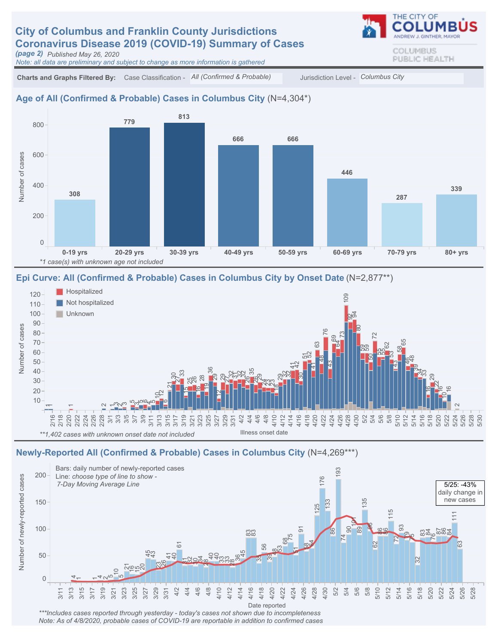## **City of Columbus and Franklin County Jurisdictions** Coronavirus Disease 2019 (COVID-19) Summary of Cases

(page2) PublishedMay26,2020

Note: all data are preliminary and subject to change as more information is gathered

Charts and Graphs Filtered By: Case Classification - All (Confirmed & Probable) Jurisdiction Level - Columbus City

#### Age of All (Confirmed & Probable) Cases in Columbus City (N=4,304\*)



#### Epi Curve: All (Confirmed & Probable) Cases in Columbus City by Onset Date (N=2,877\*\*)



#### Newly-Reported All (Confirmed & Probable) Cases in Columbus City (N=4,269\*\*\*)



\*\*\*Includes cases reported through yesterday - today's cases not shown due to incompleteness Note: As of 4/8/2020, probable cases of COVID-19 are reportable in addition to confirmed cases